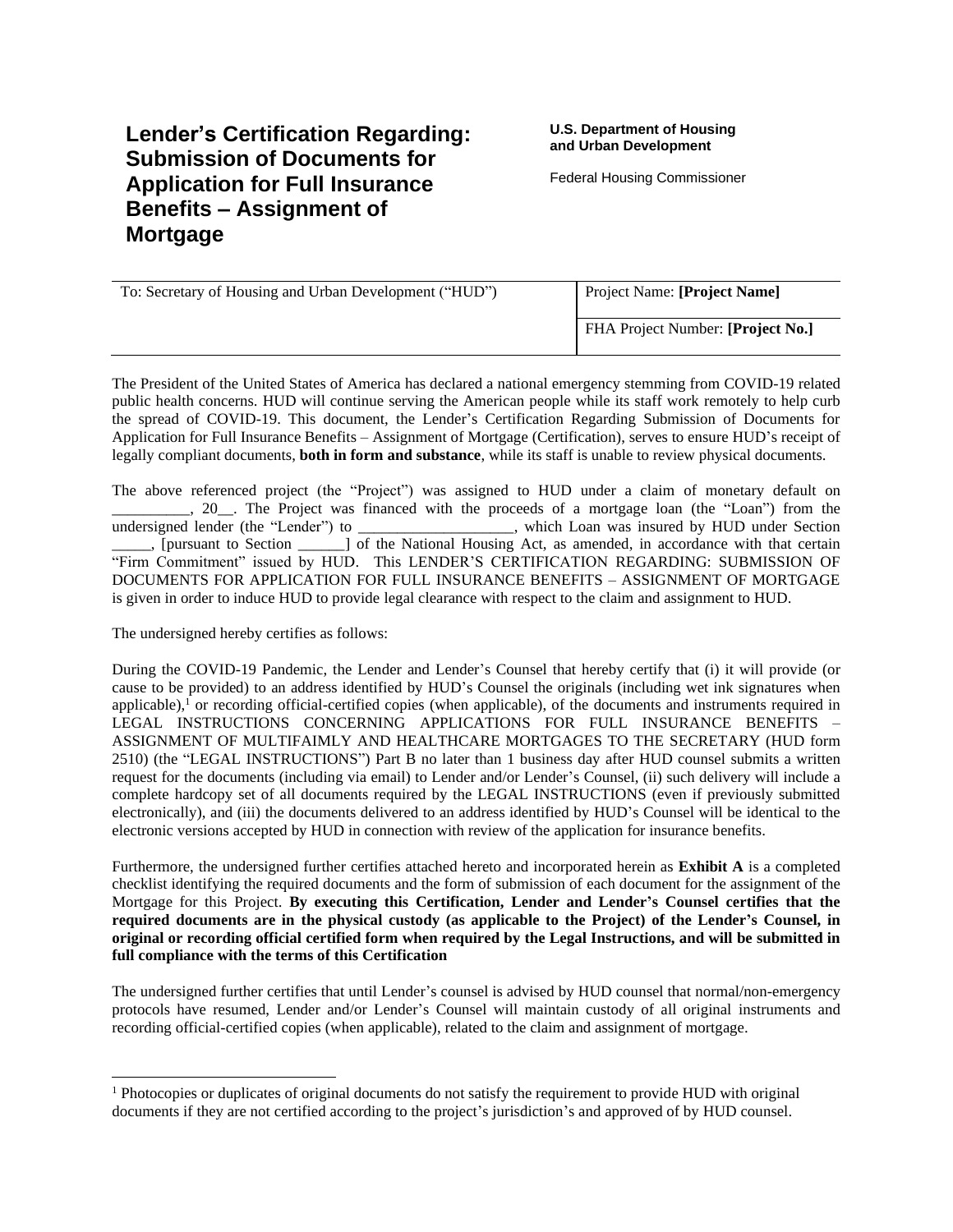Federal Housing Commissioner

| To: Secretary of Housing and Urban Development ("HUD") | Project Name: [Project Name]      |
|--------------------------------------------------------|-----------------------------------|
|                                                        | FHA Project Number: [Project No.] |

The President of the United States of America has declared a national emergency stemming from COVID-19 related public health concerns. HUD will continue serving the American people while its staff work remotely to help curb the spread of COVID-19. This document, the Lender's Certification Regarding Submission of Documents for Application for Full Insurance Benefits – Assignment of Mortgage (Certification), serves to ensure HUD's receipt of legally compliant documents, **both in form and substance**, while its staff is unable to review physical documents.

The above referenced project (the "Project") was assigned to HUD under a claim of monetary default on \_\_\_\_\_\_\_\_\_\_, 20\_\_. The Project was financed with the proceeds of a mortgage loan (the "Loan") from the undersigned lender (the "Lender") to \_\_\_\_\_\_\_\_\_\_\_\_\_\_\_\_\_\_\_\_, which Loan was insured by HUD under Section \_\_\_\_\_, [pursuant to Section \_\_\_\_\_\_] of the National Housing Act, as amended, in accordance with that certain "Firm Commitment" issued by HUD. This LENDER'S CERTIFICATION REGARDING: SUBMISSION OF DOCUMENTS FOR APPLICATION FOR FULL INSURANCE BENEFITS – ASSIGNMENT OF MORTGAGE is given in order to induce HUD to provide legal clearance with respect to the claim and assignment to HUD.

The undersigned hereby certifies as follows:

During the COVID-19 Pandemic, the Lender and Lender's Counsel that hereby certify that (i) it will provide (or cause to be provided) to an address identified by HUD's Counsel the originals (including wet ink signatures when applicable), $<sup>1</sup>$  or recording official-certified copies (when applicable), of the documents and instruments required in</sup> LEGAL INSTRUCTIONS CONCERNING APPLICATIONS FOR FULL INSURANCE BENEFITS – ASSIGNMENT OF MULTIFAIMLY AND HEALTHCARE MORTGAGES TO THE SECRETARY (HUD form 2510) (the "LEGAL INSTRUCTIONS") Part B no later than 1 business day after HUD counsel submits a written request for the documents (including via email) to Lender and/or Lender's Counsel, (ii) such delivery will include a complete hardcopy set of all documents required by the LEGAL INSTRUCTIONS (even if previously submitted electronically), and (iii) the documents delivered to an address identified by HUD's Counsel will be identical to the electronic versions accepted by HUD in connection with review of the application for insurance benefits.

Furthermore, the undersigned further certifies attached hereto and incorporated herein as **Exhibit A** is a completed checklist identifying the required documents and the form of submission of each document for the assignment of the Mortgage for this Project. **By executing this Certification, Lender and Lender's Counsel certifies that the required documents are in the physical custody (as applicable to the Project) of the Lender's Counsel, in original or recording official certified form when required by the Legal Instructions, and will be submitted in full compliance with the terms of this Certification**

The undersigned further certifies that until Lender's counsel is advised by HUD counsel that normal/non-emergency protocols have resumed, Lender and/or Lender's Counsel will maintain custody of all original instruments and recording official-certified copies (when applicable), related to the claim and assignment of mortgage.

<sup>&</sup>lt;sup>1</sup> Photocopies or duplicates of original documents do not satisfy the requirement to provide HUD with original documents if they are not certified according to the project's jurisdiction's and approved of by HUD counsel.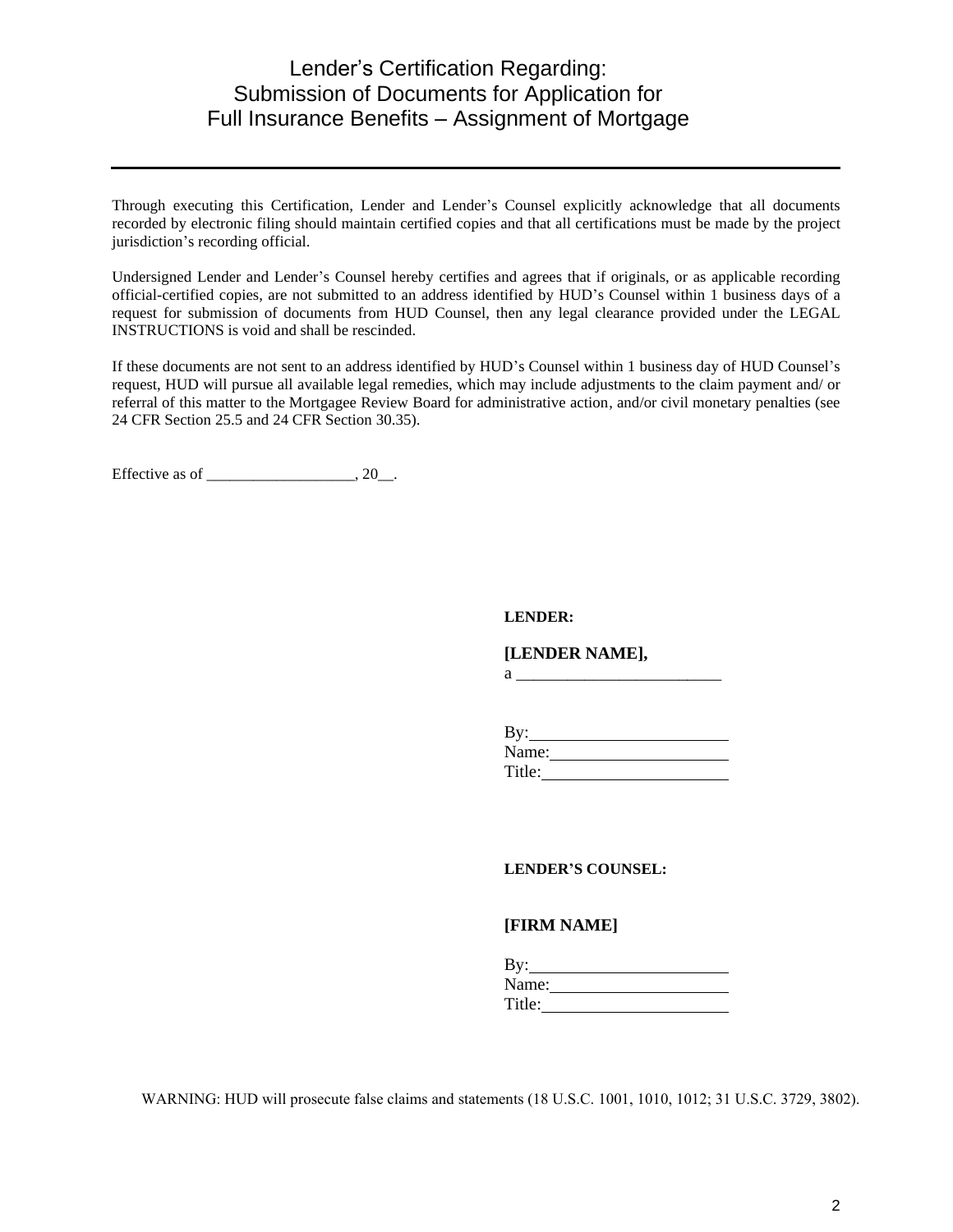Through executing this Certification, Lender and Lender's Counsel explicitly acknowledge that all documents recorded by electronic filing should maintain certified copies and that all certifications must be made by the project jurisdiction's recording official.

Undersigned Lender and Lender's Counsel hereby certifies and agrees that if originals, or as applicable recording official-certified copies, are not submitted to an address identified by HUD's Counsel within 1 business days of a request for submission of documents from HUD Counsel, then any legal clearance provided under the LEGAL INSTRUCTIONS is void and shall be rescinded.

If these documents are not sent to an address identified by HUD's Counsel within 1 business day of HUD Counsel's request, HUD will pursue all available legal remedies, which may include adjustments to the claim payment and/ or referral of this matter to the Mortgagee Review Board for administrative action, and/or civil monetary penalties (see 24 CFR Section 25.5 and 24 CFR Section 30.35).

Effective as of  $\_\_\_\_\_\_\_\_\$ , 20 $\_\_\_\_\$ .

#### **LENDER:**

**[LENDER NAME],** 

 $a \qquad \qquad$ 

| By:    |  |  |
|--------|--|--|
| Name:  |  |  |
| Title: |  |  |

**LENDER'S COUNSEL:**

#### **[FIRM NAME]**

| By:    |  |
|--------|--|
| Name:  |  |
| Title: |  |

WARNING: HUD will prosecute false claims and statements (18 U.S.C. 1001, 1010, 1012; 31 U.S.C. 3729, 3802).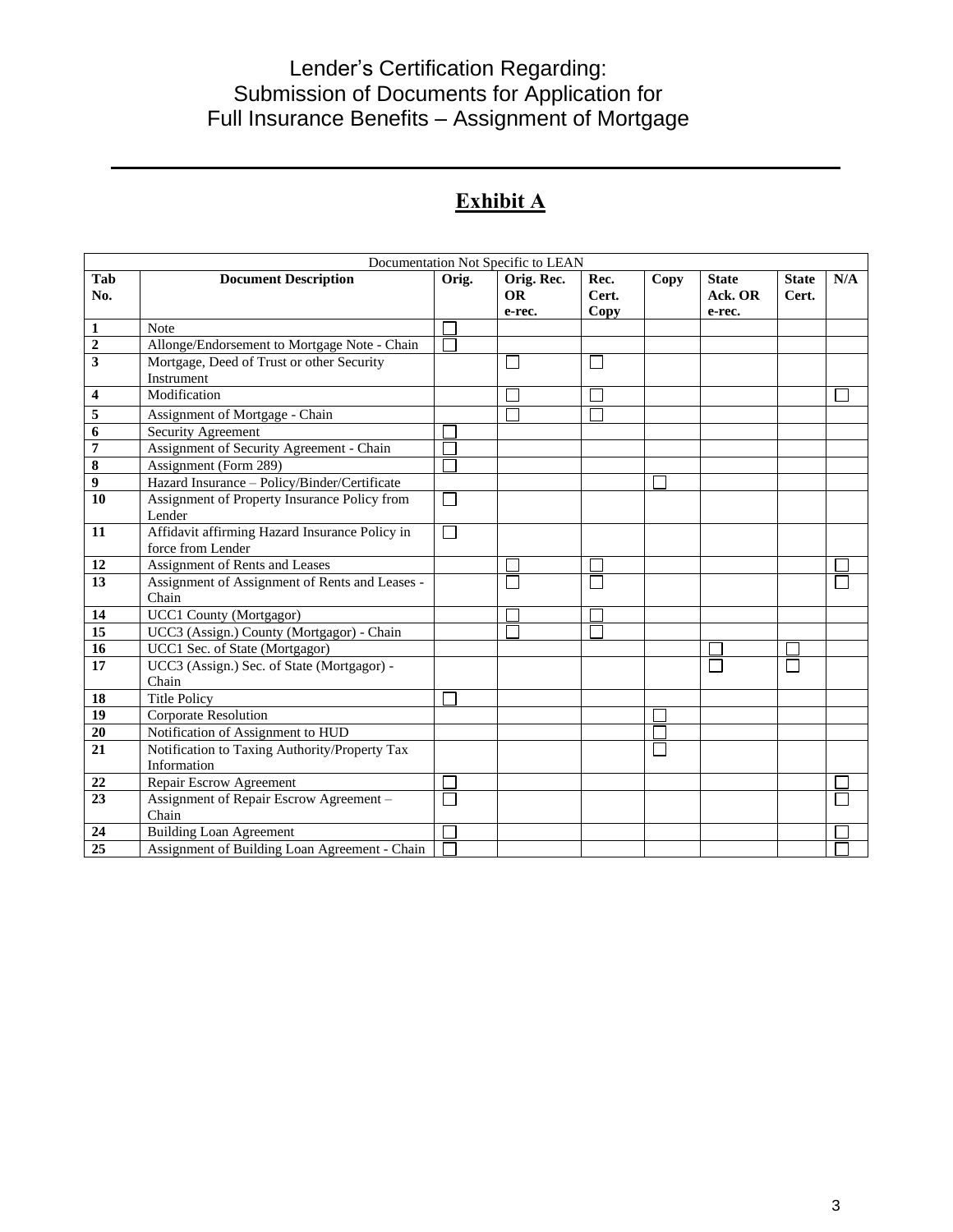# **Exhibit A**

| Documentation Not Specific to LEAN |                                                |                |            |       |      |              |              |     |
|------------------------------------|------------------------------------------------|----------------|------------|-------|------|--------------|--------------|-----|
| Tab                                | <b>Document Description</b>                    | Orig.          | Orig. Rec. | Rec.  | Copy | <b>State</b> | <b>State</b> | N/A |
| No.                                |                                                |                | <b>OR</b>  | Cert. |      | Ack. OR      | Cert.        |     |
|                                    |                                                |                | e-rec.     | Copy  |      | e-rec.       |              |     |
| $\mathbf{1}$                       | <b>Note</b>                                    |                |            |       |      |              |              |     |
| $\boldsymbol{2}$                   | Allonge/Endorsement to Mortgage Note - Chain   |                |            |       |      |              |              |     |
| 3                                  | Mortgage, Deed of Trust or other Security      |                |            |       |      |              |              |     |
|                                    | Instrument<br>Modification                     |                |            |       |      |              |              |     |
| 4                                  |                                                |                |            |       |      |              |              |     |
| 5                                  | Assignment of Mortgage - Chain                 |                |            |       |      |              |              |     |
| 6                                  | Security Agreement                             |                |            |       |      |              |              |     |
| $\pmb{7}$                          | Assignment of Security Agreement - Chain       |                |            |       |      |              |              |     |
| $\overline{\bf 8}$                 | Assignment (Form 289)                          |                |            |       |      |              |              |     |
| $\overline{9}$                     | Hazard Insurance - Policy/Binder/Certificate   |                |            |       |      |              |              |     |
| 10                                 | Assignment of Property Insurance Policy from   | L              |            |       |      |              |              |     |
|                                    | Lender                                         |                |            |       |      |              |              |     |
| 11                                 | Affidavit affirming Hazard Insurance Policy in | $\mathbb{R}^n$ |            |       |      |              |              |     |
|                                    | force from Lender                              |                |            |       |      |              |              |     |
| 12                                 | Assignment of Rents and Leases                 |                |            |       |      |              |              |     |
| 13                                 | Assignment of Assignment of Rents and Leases - |                |            |       |      |              |              |     |
|                                    | Chain                                          |                |            |       |      |              |              |     |
| 14                                 | <b>UCC1 County (Mortgagor)</b>                 |                |            |       |      |              |              |     |
| $\overline{15}$                    | UCC3 (Assign.) County (Mortgagor) - Chain      |                |            |       |      |              |              |     |
| 16                                 | UCC1 Sec. of State (Mortgagor)                 |                |            |       |      |              |              |     |
| 17                                 | UCC3 (Assign.) Sec. of State (Mortgagor) -     |                |            |       |      |              |              |     |
|                                    | Chain                                          |                |            |       |      |              |              |     |
| 18                                 | <b>Title Policy</b>                            |                |            |       |      |              |              |     |
| 19                                 | Corporate Resolution                           |                |            |       |      |              |              |     |
| 20                                 | Notification of Assignment to HUD              |                |            |       |      |              |              |     |
| 21                                 | Notification to Taxing Authority/Property Tax  |                |            |       |      |              |              |     |
|                                    | Information                                    |                |            |       |      |              |              |     |
| 22                                 | Repair Escrow Agreement                        |                |            |       |      |              |              |     |
| 23                                 | Assignment of Repair Escrow Agreement -        |                |            |       |      |              |              |     |
|                                    | Chain                                          |                |            |       |      |              |              |     |
| 24                                 | <b>Building Loan Agreement</b>                 |                |            |       |      |              |              |     |
| 25                                 | Assignment of Building Loan Agreement - Chain  |                |            |       |      |              |              |     |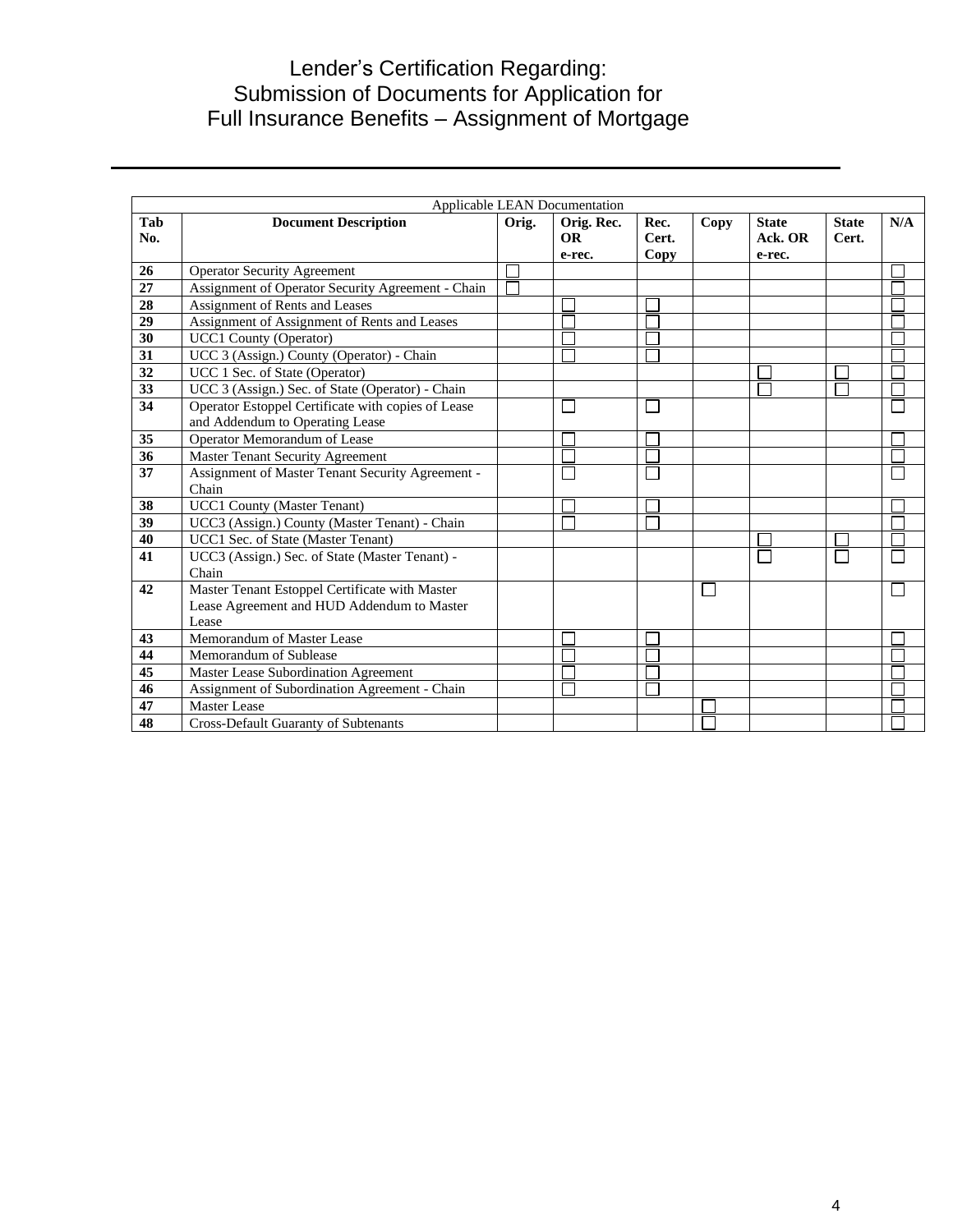| Applicable LEAN Documentation |                                                                                                       |  |       |                                   |                       |              |                                   |                       |     |
|-------------------------------|-------------------------------------------------------------------------------------------------------|--|-------|-----------------------------------|-----------------------|--------------|-----------------------------------|-----------------------|-----|
| Tab<br>No.                    | <b>Document Description</b>                                                                           |  | Orig. | Orig. Rec.<br><b>OR</b><br>e-rec. | Rec.<br>Cert.<br>Copy | Copy         | <b>State</b><br>Ack. OR<br>e-rec. | <b>State</b><br>Cert. | N/A |
| 26                            | <b>Operator Security Agreement</b>                                                                    |  |       |                                   |                       |              |                                   |                       |     |
| 27                            | Assignment of Operator Security Agreement - Chain                                                     |  |       |                                   |                       |              |                                   |                       |     |
| 28                            | Assignment of Rents and Leases                                                                        |  |       |                                   |                       |              |                                   |                       |     |
| 29                            | Assignment of Assignment of Rents and Leases                                                          |  |       |                                   |                       |              |                                   |                       |     |
| 30                            | <b>UCC1 County (Operator)</b>                                                                         |  |       |                                   |                       |              |                                   |                       |     |
| 31                            | UCC 3 (Assign.) County (Operator) - Chain                                                             |  |       |                                   |                       |              |                                   |                       |     |
| 32                            | UCC 1 Sec. of State (Operator)                                                                        |  |       |                                   |                       |              |                                   |                       |     |
| 33                            | UCC 3 (Assign.) Sec. of State (Operator) - Chain                                                      |  |       |                                   |                       |              |                                   |                       |     |
| 34                            | Operator Estoppel Certificate with copies of Lease<br>and Addendum to Operating Lease                 |  |       |                                   |                       |              |                                   |                       |     |
| 35                            | Operator Memorandum of Lease                                                                          |  |       |                                   |                       |              |                                   |                       |     |
| 36                            | Master Tenant Security Agreement                                                                      |  |       |                                   |                       |              |                                   |                       |     |
| 37                            | Assignment of Master Tenant Security Agreement -<br>Chain                                             |  |       |                                   |                       |              |                                   |                       |     |
| 38                            | <b>UCC1 County (Master Tenant)</b>                                                                    |  |       |                                   |                       |              |                                   |                       |     |
| 39                            | UCC3 (Assign.) County (Master Tenant) - Chain                                                         |  |       |                                   |                       |              |                                   |                       |     |
| 40                            | UCC1 Sec. of State (Master Tenant)                                                                    |  |       |                                   |                       |              |                                   |                       |     |
| 41                            | UCC3 (Assign.) Sec. of State (Master Tenant) -<br>Chain                                               |  |       |                                   |                       |              |                                   |                       |     |
| 42                            | Master Tenant Estoppel Certificate with Master<br>Lease Agreement and HUD Addendum to Master<br>Lease |  |       |                                   |                       | $\mathbf{L}$ |                                   |                       |     |
| 43                            | Memorandum of Master Lease                                                                            |  |       |                                   |                       |              |                                   |                       |     |
| 44                            | Memorandum of Sublease                                                                                |  |       |                                   |                       |              |                                   |                       |     |
| 45                            | <b>Master Lease Subordination Agreement</b>                                                           |  |       |                                   |                       |              |                                   |                       |     |
| 46                            | Assignment of Subordination Agreement - Chain                                                         |  |       |                                   |                       |              |                                   |                       |     |
| 47                            | Master Lease                                                                                          |  |       |                                   |                       |              |                                   |                       |     |
| 48                            | <b>Cross-Default Guaranty of Subtenants</b>                                                           |  |       |                                   |                       |              |                                   |                       |     |